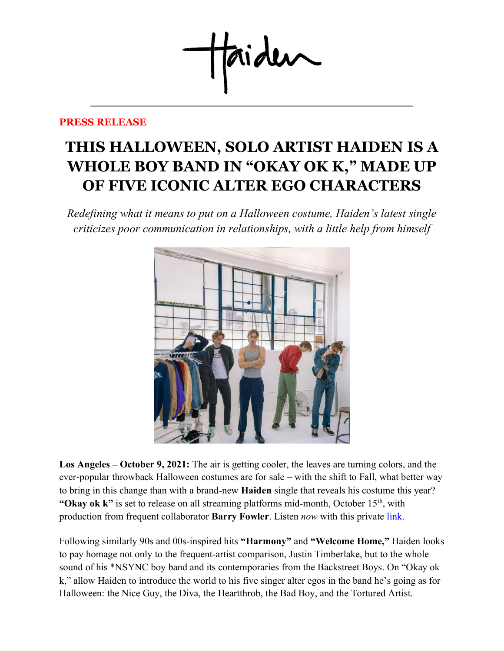taideu

## **PRESS RELEASE**

## **THIS HALLOWEEN, SOLO ARTIST HAIDEN IS A WHOLE BOY BAND IN "OKAY OK K, " MADE UP OF FIVE ICONIC ALTER EGO CHARACTERS**

*Redefining what it means to put on a Halloween costume, Haiden's latest single criticizes poor communication in relationships, with a little help from himself*



**Los Angeles – October 9, 2021:** The air is getting cooler, the leaves are turning colors, and the ever-popular throwback Halloween costumes are for sale – with the shift to Fall, what better way to bring in this change than with a brand-new **Haiden** single that reveals his costume this year? **"Okay ok k"** is set to release on all streaming platforms mid-month, October 15<sup>th</sup>, with production from frequent collaborator **Barry Fowler**. Listen *now* with this private [link.](https://portal.cageriot.com/d2/share/eyJ1c2VyX2lkIjoyMzQ5NTQsInJlbGVhc2VfaWQiOjEwNTYxMjYsImFsYnVtX2lkIjo3MTg1MX0)

Following similarly 90s and 00s-inspired hits **"Harmony"** and **"Welcome Home,"** Haiden looks to pay homage not only to the frequent-artist comparison, Justin Timberlake, but to the whole sound of his \*NSYNC boy band and its contemporaries from the Backstreet Boys. On "Okay ok k," allow Haiden to introduce the world to his five singer alter egos in the band he's going as for Halloween: the Nice Guy, the Diva, the Heartthrob, the Bad Boy, and the Tortured Artist.